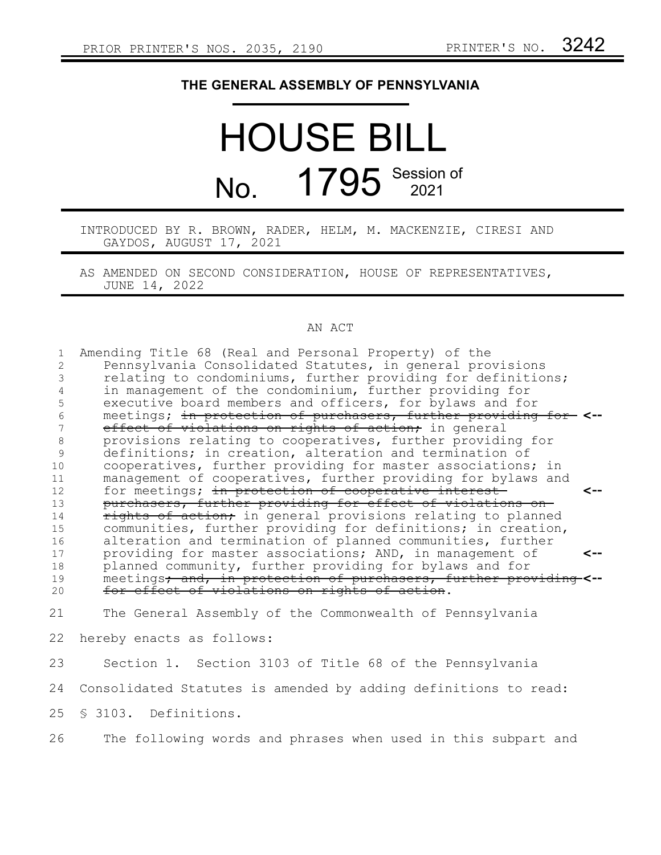## **THE GENERAL ASSEMBLY OF PENNSYLVANIA**

## HOUSE BILL No. 1795 Session of

INTRODUCED BY R. BROWN, RADER, HELM, M. MACKENZIE, CIRESI AND GAYDOS, AUGUST 17, 2021

AS AMENDED ON SECOND CONSIDERATION, HOUSE OF REPRESENTATIVES, JUNE 14, 2022

## AN ACT

| $\mathbf{1}$ | Amending Title 68 (Real and Personal Property) of the                            |
|--------------|----------------------------------------------------------------------------------|
| 2            | Pennsylvania Consolidated Statutes, in general provisions                        |
| 3            | relating to condominiums, further providing for definitions;                     |
| 4            | in management of the condominium, further providing for                          |
| 5            | executive board members and officers, for bylaws and for                         |
| 6            | meetings; in protection of purchasers, further providing for <--                 |
| 7            | effect of violations on rights of action; in general                             |
| 8            | provisions relating to cooperatives, further providing for                       |
| 9            | definitions; in creation, alteration and termination of                          |
| 10           | cooperatives, further providing for master associations; in                      |
| 11           | management of cooperatives, further providing for bylaws and                     |
| 12           | for meetings; in protection of cooperative interest<br><--                       |
| 13           | purchasers, further providing for effect of violations on-                       |
| 14           | rights of action, in general provisions relating to planned                      |
| 15           | communities, further providing for definitions; in creation,                     |
| 16           | alteration and termination of planned communities, further                       |
| 17           | providing for master associations; AND, in management of<br><--                  |
| 18           | planned community, further providing for bylaws and for                          |
| 19           | meetings <del>; and, in protection of purchasers, further providing-&lt;--</del> |
| 20           | for effect of violations on rights of action.                                    |
|              |                                                                                  |
| 21           | The General Assembly of the Commonwealth of Pennsylvania                         |
| 22           |                                                                                  |
|              | hereby enacts as follows:                                                        |
| 23           | Section 1. Section 3103 of Title 68 of the Pennsylvania                          |
|              |                                                                                  |
| 24           | Consolidated Statutes is amended by adding definitions to read:                  |
| 25           | § 3103. Definitions.                                                             |
|              |                                                                                  |
|              |                                                                                  |

The following words and phrases when used in this subpart and 26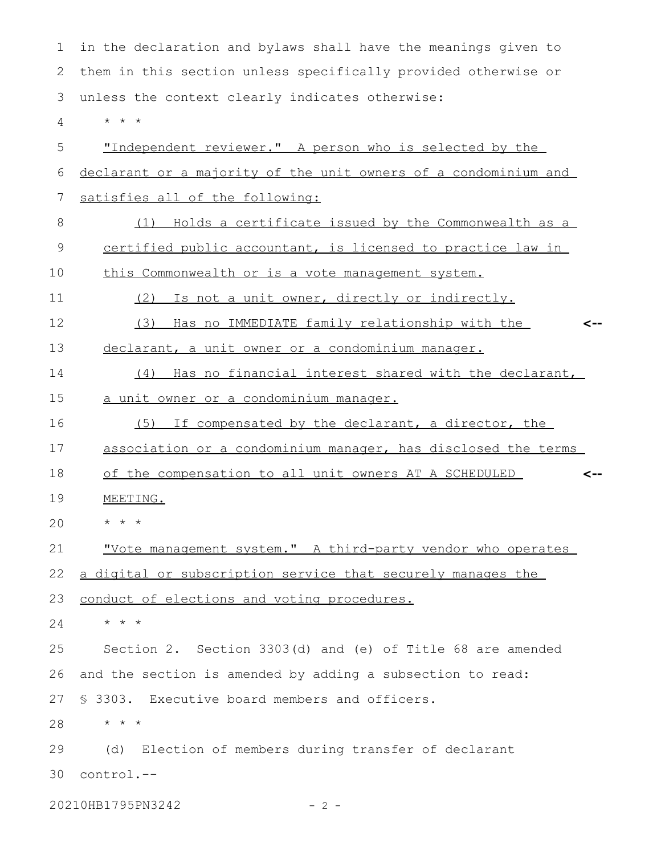in the declaration and bylaws shall have the meanings given to them in this section unless specifically provided otherwise or unless the context clearly indicates otherwise: \* \* \* "Independent reviewer." A person who is selected by the declarant or a majority of the unit owners of a condominium and satisfies all of the following: (1) Holds a certificate issued by the Commonwealth as a certified public accountant, is licensed to practice law in this Commonwealth or is a vote management system. (2) Is not a unit owner, directly or indirectly. (3) Has no IMMEDIATE family relationship with the declarant, a unit owner or a condominium manager. (4) Has no financial interest shared with the declarant, a unit owner or a condominium manager. (5) If compensated by the declarant, a director, the association or a condominium manager, has disclosed the terms of the compensation to all unit owners AT A SCHEDULED MEETING.  $\star$   $\hspace{0.1cm} \star$   $\hspace{0.1cm} \star$ "Vote management system." A third-party vendor who operates a digital or subscription service that securely manages the conduct of elections and voting procedures. \* \* \* Section 2. Section 3303(d) and (e) of Title 68 are amended and the section is amended by adding a subsection to read: § 3303. Executive board members and officers. \* \* \* (d) Election of members during transfer of declarant control.-- 30**<-- <--** 1 2 3 4 5 6 7 8 9 10 11 12 13 14 15 16 17 18 19 20 21 22 23 24 25 26 27 28 29

20210HB1795PN3242 - 2 -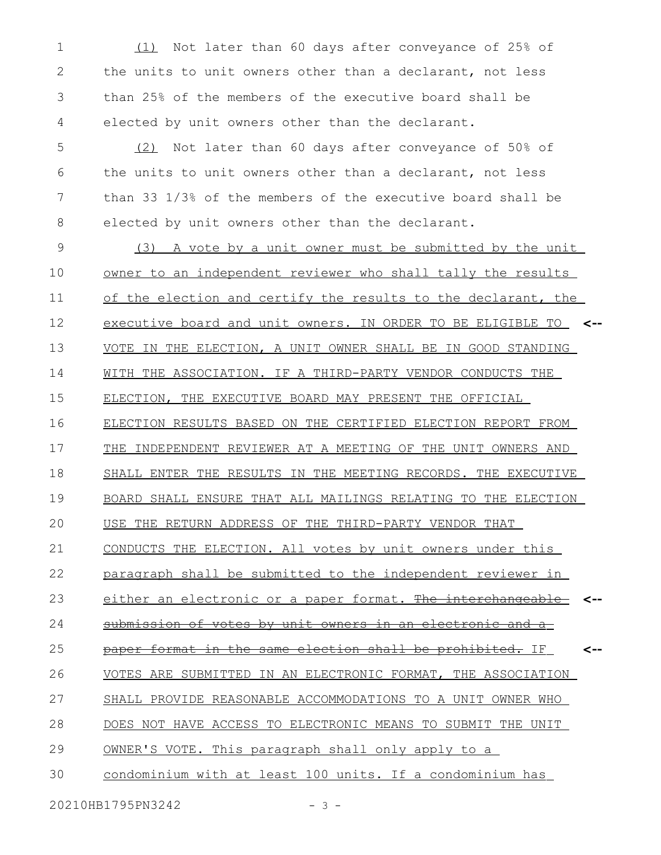(1) Not later than 60 days after conveyance of 25% of the units to unit owners other than a declarant, not less than 25% of the members of the executive board shall be elected by unit owners other than the declarant. 1 2 3 4

(2) Not later than 60 days after conveyance of 50% of the units to unit owners other than a declarant, not less than 33 1/3% of the members of the executive board shall be elected by unit owners other than the declarant. 5 6 7 8

(3) A vote by a unit owner must be submitted by the unit owner to an independent reviewer who shall tally the results of the election and certify the results to the declarant, the executive board and unit owners. IN ORDER TO BE ELIGIBLE TO **<--** VOTE IN THE ELECTION, A UNIT OWNER SHALL BE IN GOOD STANDING WITH THE ASSOCIATION. IF A THIRD-PARTY VENDOR CONDUCTS THE ELECTION, THE EXECUTIVE BOARD MAY PRESENT THE OFFICIAL ELECTION RESULTS BASED ON THE CERTIFIED ELECTION REPORT FROM THE INDEPENDENT REVIEWER AT A MEETING OF THE UNIT OWNERS AND SHALL ENTER THE RESULTS IN THE MEETING RECORDS. THE EXECUTIVE BOARD SHALL ENSURE THAT ALL MAILINGS RELATING TO THE ELECTION USE THE RETURN ADDRESS OF THE THIRD-PARTY VENDOR THAT CONDUCTS THE ELECTION. All votes by unit owners under this paragraph shall be submitted to the independent reviewer in either an electronic or a paper format. The interchangeable submission of votes by unit owners in an electronic and a paper format in the same election shall be prohibited. IF VOTES ARE SUBMITTED IN AN ELECTRONIC FORMAT, THE ASSOCIATION SHALL PROVIDE REASONABLE ACCOMMODATIONS TO A UNIT OWNER WHO DOES NOT HAVE ACCESS TO ELECTRONIC MEANS TO SUBMIT THE UNIT OWNER'S VOTE. This paragraph shall only apply to a condominium with at least 100 units. If a condominium has **<-- <--** 9 10 11 12 13 14 15 16 17 18 19 20 21 22 23 24 25 26 27 28 29 30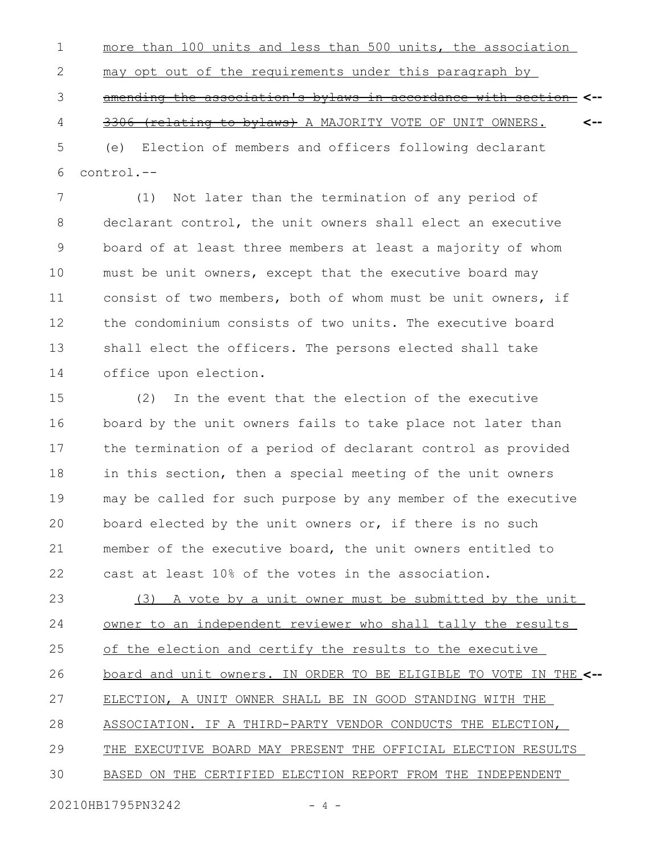more than 100 units and less than 500 units, the association may opt out of the requirements under this paragraph by amending the association's bylaws in accordance with section **<--** 3306 (relating to bylaws) A MAJORITY VOTE OF UNIT OWNERS. (e) Election of members and officers following declarant control.-- **<--** 1 2 3 4 5 6

(1) Not later than the termination of any period of declarant control, the unit owners shall elect an executive board of at least three members at least a majority of whom must be unit owners, except that the executive board may consist of two members, both of whom must be unit owners, if the condominium consists of two units. The executive board shall elect the officers. The persons elected shall take office upon election. 7 8 9 10 11 12 13 14

(2) In the event that the election of the executive board by the unit owners fails to take place not later than the termination of a period of declarant control as provided in this section, then a special meeting of the unit owners may be called for such purpose by any member of the executive board elected by the unit owners or, if there is no such member of the executive board, the unit owners entitled to cast at least 10% of the votes in the association. 15 16 17 18 19 20 21 22

(3) A vote by a unit owner must be submitted by the unit owner to an independent reviewer who shall tally the results of the election and certify the results to the executive board and unit owners. IN ORDER TO BE ELIGIBLE TO VOTE IN THE **<--** ELECTION, A UNIT OWNER SHALL BE IN GOOD STANDING WITH THE ASSOCIATION. IF A THIRD-PARTY VENDOR CONDUCTS THE ELECTION, THE EXECUTIVE BOARD MAY PRESENT THE OFFICIAL ELECTION RESULTS BASED ON THE CERTIFIED ELECTION REPORT FROM THE INDEPENDENT 23 24 25 26 27 28 29 30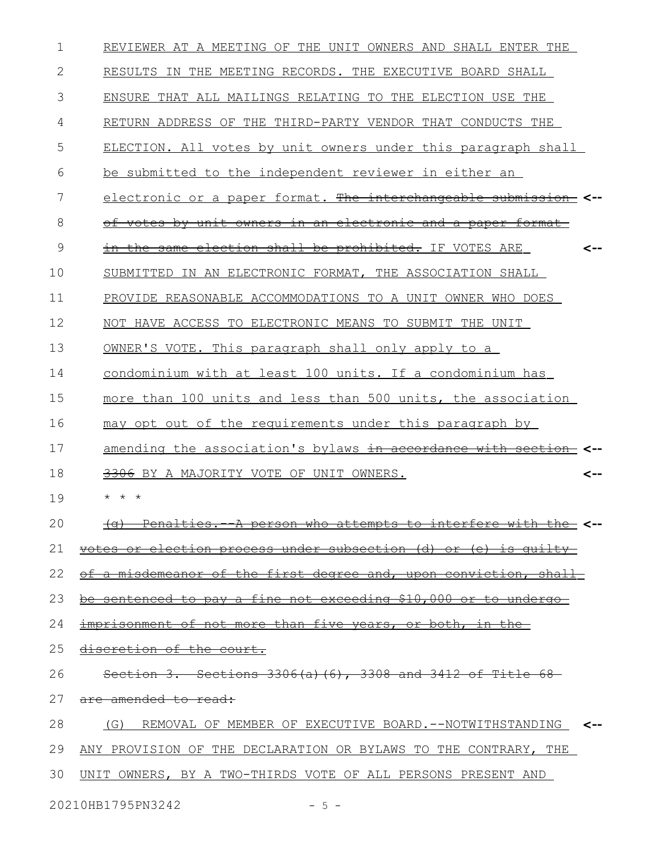| $\mathbf 1$ | REVIEWER AT A MEETING OF THE UNIT OWNERS AND SHALL ENTER THE      |
|-------------|-------------------------------------------------------------------|
| 2           | RESULTS IN THE MEETING RECORDS. THE EXECUTIVE BOARD SHALL         |
| 3           | ENSURE THAT ALL MAILINGS RELATING TO THE ELECTION USE THE         |
| 4           | RETURN ADDRESS OF THE THIRD-PARTY VENDOR THAT CONDUCTS THE        |
| 5           | ELECTION. All votes by unit owners under this paragraph shall     |
| 6           | be submitted to the independent reviewer in either an             |
| 7           | electronic or a paper format. The interchangeable submission <--  |
| 8           | of votes by unit owners in an electronic and a paper format       |
| 9           | the same election shall be prohibited. IF VOTES ARE<br><--        |
| 10          | SUBMITTED IN AN ELECTRONIC FORMAT, THE ASSOCIATION SHALL          |
| 11          | PROVIDE REASONABLE ACCOMMODATIONS TO A UNIT OWNER WHO DOES        |
| 12          | NOT HAVE ACCESS TO ELECTRONIC MEANS TO SUBMIT THE UNIT            |
| 13          | OWNER'S VOTE. This paragraph shall only apply to a                |
| 14          | condominium with at least 100 units. If a condominium has         |
| 15          | more than 100 units and less than 500 units, the association      |
| 16          | may opt out of the requirements under this paragraph by           |
| 17          | amending the association's bylaws in accordance with section      |
| 18          | 3306 BY A MAJORITY VOTE OF UNIT OWNERS.<br><--                    |
| 19          | $\star$<br>$\star$<br>$\star$                                     |
| 20          | (g) Penalties. - A person who attempts to interfere with the <--  |
| 21          | votes or election process under subsection (d) or (e) is quilty   |
| 22          | of a misdemeanor of the first degree and, upon conviction, shall  |
| 23          | be sentenced to pay a fine not exceeding \$10,000 or to undergo-  |
| 24          | imprisonment of not more than five years, or both, in the-        |
| 25          | discretion of the court.                                          |
| 26          | Section 3. Sections $3306(a)$ (6), $3308$ and $3412$ of Title 68- |
| 27          | <del>are amended to read:</del>                                   |
| 28          | (G) REMOVAL OF MEMBER OF EXECUTIVE BOARD.--NOTWITHSTANDING <--    |
| 29          | ANY PROVISION OF THE DECLARATION OR BYLAWS TO THE CONTRARY, THE   |
| 30          | UNIT OWNERS, BY A TWO-THIRDS VOTE OF ALL PERSONS PRESENT AND      |
|             |                                                                   |

20210HB1795PN3242 - 5 -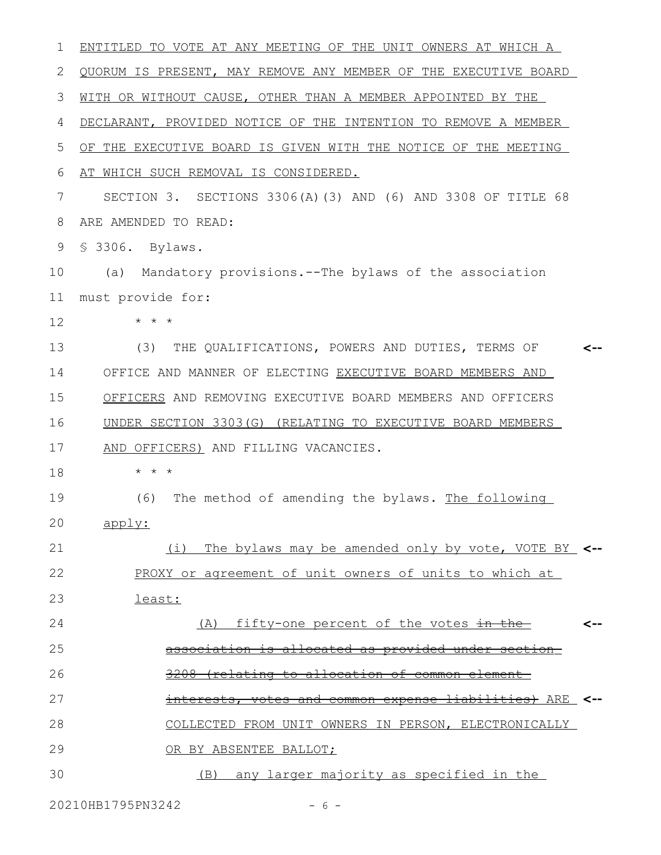| 1  | ENTITLED TO VOTE AT ANY MEETING OF THE UNIT OWNERS AT WHICH A                     |     |
|----|-----------------------------------------------------------------------------------|-----|
| 2  | QUORUM IS PRESENT, MAY REMOVE ANY MEMBER OF THE EXECUTIVE BOARD                   |     |
| 3  | WITH OR WITHOUT CAUSE, OTHER THAN A MEMBER APPOINTED BY THE                       |     |
| 4  | DECLARANT, PROVIDED NOTICE OF THE INTENTION TO REMOVE A MEMBER                    |     |
| 5  | OF THE EXECUTIVE BOARD IS GIVEN WITH THE NOTICE OF THE MEETING                    |     |
| 6  | AT WHICH SUCH REMOVAL IS CONSIDERED.                                              |     |
| 7  | SECTION 3. SECTIONS 3306(A)(3) AND (6) AND 3308 OF TITLE 68                       |     |
| 8  | ARE AMENDED TO READ:                                                              |     |
| 9  | \$ 3306. Bylaws.                                                                  |     |
| 10 | Mandatory provisions.--The bylaws of the association<br>(a)                       |     |
| 11 | must provide for:                                                                 |     |
| 12 | $\star$ $\star$ $\star$                                                           |     |
| 13 | (3)<br>THE QUALIFICATIONS, POWERS AND DUTIES, TERMS OF                            |     |
| 14 | OFFICE AND MANNER OF ELECTING EXECUTIVE BOARD MEMBERS AND                         |     |
| 15 | OFFICERS AND REMOVING EXECUTIVE BOARD MEMBERS AND OFFICERS                        |     |
| 16 | UNDER SECTION 3303(G) (RELATING TO EXECUTIVE BOARD MEMBERS                        |     |
| 17 | AND OFFICERS) AND FILLING VACANCIES.                                              |     |
| 18 | $\star$ $\star$<br>$\star$                                                        |     |
| 19 | (6)<br>The method of amending the bylaws. The following                           |     |
| 20 | apply:                                                                            |     |
| 21 | (i) The bylaws may be amended only by vote, VOTE BY <--                           |     |
| 22 | PROXY or agreement of unit owners of units to which at                            |     |
| 23 | least:                                                                            |     |
| 24 | <u>(A) fifty-one percent of the votes in the-</u>                                 | <-- |
| 25 | association is allocated as provided under section                                |     |
| 26 | (relating to allocation of common element-                                        |     |
| 27 | <del>-liabilities)</del> ARE <b>&lt;--</b><br>interests, votes and common expense |     |
| 28 | COLLECTED FROM UNIT OWNERS IN PERSON, ELECTRONICALLY                              |     |
| 29 | OR BY ABSENTEE BALLOT;                                                            |     |
| 30 | (B) any larger majority as specified in the                                       |     |
|    |                                                                                   |     |

20210HB1795PN3242 - 6 -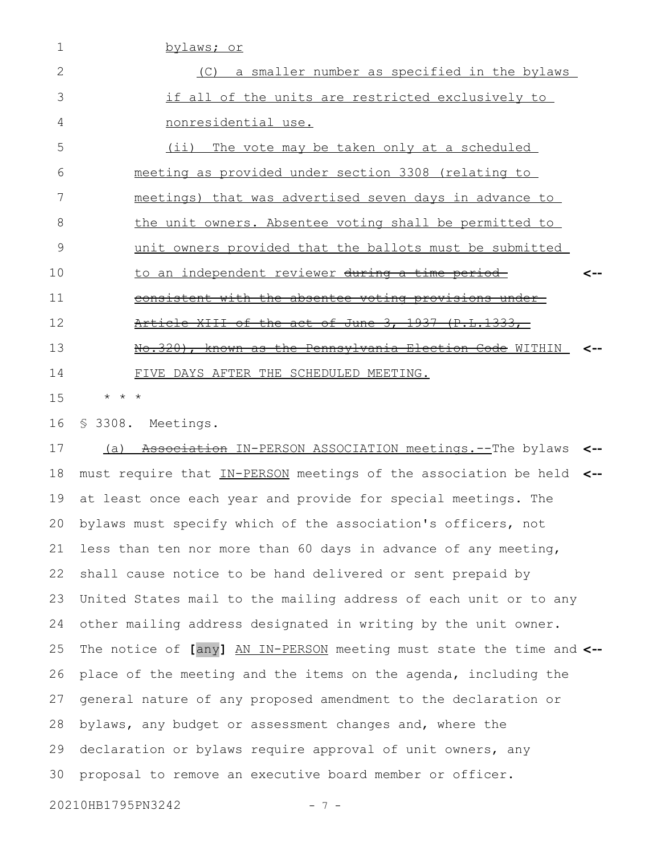| $\mathbf 1$    | bylaws; or                                                           |     |
|----------------|----------------------------------------------------------------------|-----|
| $\overline{2}$ | (C) a smaller number as specified in the bylaws                      |     |
| 3              | if all of the units are restricted exclusively to                    |     |
| 4              | nonresidential use.                                                  |     |
| 5              | (i)<br>The vote may be taken only at a scheduled                     |     |
| 6              | meeting as provided under section 3308 (relating to                  |     |
| 7              | meetings) that was advertised seven days in advance to               |     |
| 8              | the unit owners. Absentee voting shall be permitted to               |     |
| 9              | unit owners provided that the ballots must be submitted              |     |
| 10             | to an independent reviewer during a time period                      | <-- |
| 11             | <u>consistent with the absentee voting provisions under-</u>         |     |
| 12             | Article XIII of the act of June 3, 1937 (P.L.1333,                   |     |
| 13             | No.320), known as the Pennsylvania Election Code WITHIN              |     |
| 14             | FIVE DAYS AFTER THE SCHEDULED MEETING.                               |     |
| 15             | * * *                                                                |     |
| 16             | \$ 3308. Meetings.                                                   |     |
| 17             | Association IN-PERSON ASSOCIATION meetings. -- The bylaws<br>(a)     | <-- |
| 18             | must require that IN-PERSON meetings of the association be held <--  |     |
| 19             | at least once each year and provide for special meetings. The        |     |
|                | 20 bylaws must specify which of the association's officers, not      |     |
| 21             | less than ten nor more than 60 days in advance of any meeting,       |     |
| 22             | shall cause notice to be hand delivered or sent prepaid by           |     |
| 23             | United States mail to the mailing address of each unit or to any     |     |
| 24             | other mailing address designated in writing by the unit owner.       |     |
| 25             | The notice of [any] AN IN-PERSON meeting must state the time and <-- |     |
| 26             | place of the meeting and the items on the agenda, including the      |     |
| 27             | general nature of any proposed amendment to the declaration or       |     |
| 28             | bylaws, any budget or assessment changes and, where the              |     |
| 29             | declaration or bylaws require approval of unit owners, any           |     |
| 30             | proposal to remove an executive board member or officer.             |     |
|                | 20210HB1795PN3242                                                    |     |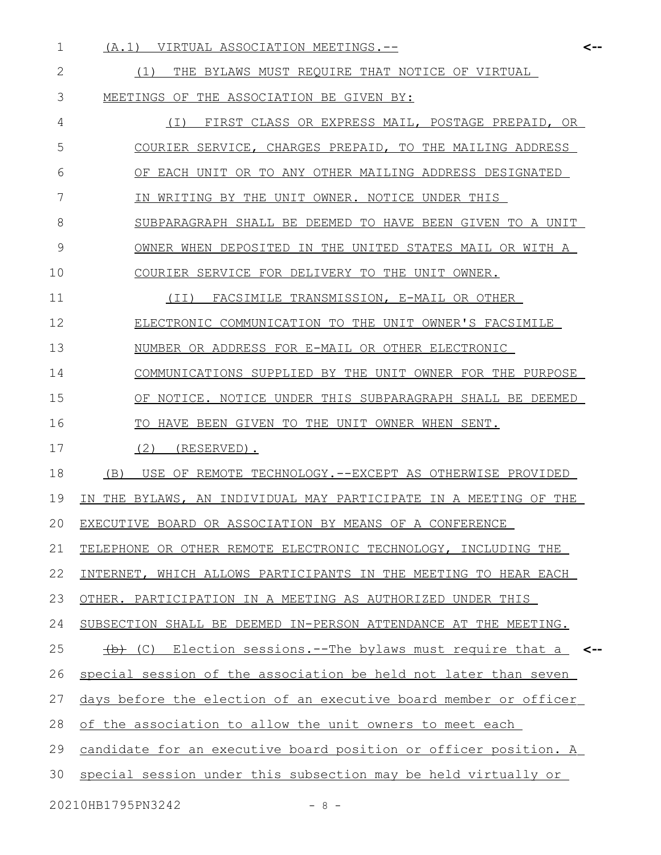- (A.1) VIRTUAL ASSOCIATION MEETINGS.-- 1 **<--** (1) THE BYLAWS MUST REQUIRE THAT NOTICE OF VIRTUAL MEETINGS OF THE ASSOCIATION BE GIVEN BY: (I) FIRST CLASS OR EXPRESS MAIL, POSTAGE PREPAID, OR COURIER SERVICE, CHARGES PREPAID, TO THE MAILING ADDRESS OF EACH UNIT OR TO ANY OTHER MAILING ADDRESS DESIGNATED IN WRITING BY THE UNIT OWNER. NOTICE UNDER THIS SUBPARAGRAPH SHALL BE DEEMED TO HAVE BEEN GIVEN TO A UNIT OWNER WHEN DEPOSITED IN THE UNITED STATES MAIL OR WITH A COURIER SERVICE FOR DELIVERY TO THE UNIT OWNER. (II) FACSIMILE TRANSMISSION, E-MAIL OR OTHER ELECTRONIC COMMUNICATION TO THE UNIT OWNER'S FACSIMILE NUMBER OR ADDRESS FOR E-MAIL OR OTHER ELECTRONIC COMMUNICATIONS SUPPLIED BY THE UNIT OWNER FOR THE PURPOSE OF NOTICE. NOTICE UNDER THIS SUBPARAGRAPH SHALL BE DEEMED TO HAVE BEEN GIVEN TO THE UNIT OWNER WHEN SENT. (2) (RESERVED). (B) USE OF REMOTE TECHNOLOGY.--EXCEPT AS OTHERWISE PROVIDED IN THE BYLAWS, AN INDIVIDUAL MAY PARTICIPATE IN A MEETING OF THE EXECUTIVE BOARD OR ASSOCIATION BY MEANS OF A CONFERENCE TELEPHONE OR OTHER REMOTE ELECTRONIC TECHNOLOGY, INCLUDING THE INTERNET, WHICH ALLOWS PARTICIPANTS IN THE MEETING TO HEAR EACH OTHER. PARTICIPATION IN A MEETING AS AUTHORIZED UNDER THIS SUBSECTION SHALL BE DEEMED IN-PERSON ATTENDANCE AT THE MEETING. (b) (C) Election sessions.--The bylaws must require that a special session of the association be held not later than seven days before the election of an executive board member or officer of the association to allow the unit owners to meet each candidate for an executive board position or officer position. A **<--** 2 3 4 5 6 7 8 9 10 11 12 13 14 15 16 17 18 19 20 21 22 23 24 25 26 27 28 29
- special session under this subsection may be held virtually or 30

20210HB1795PN3242 - 8 -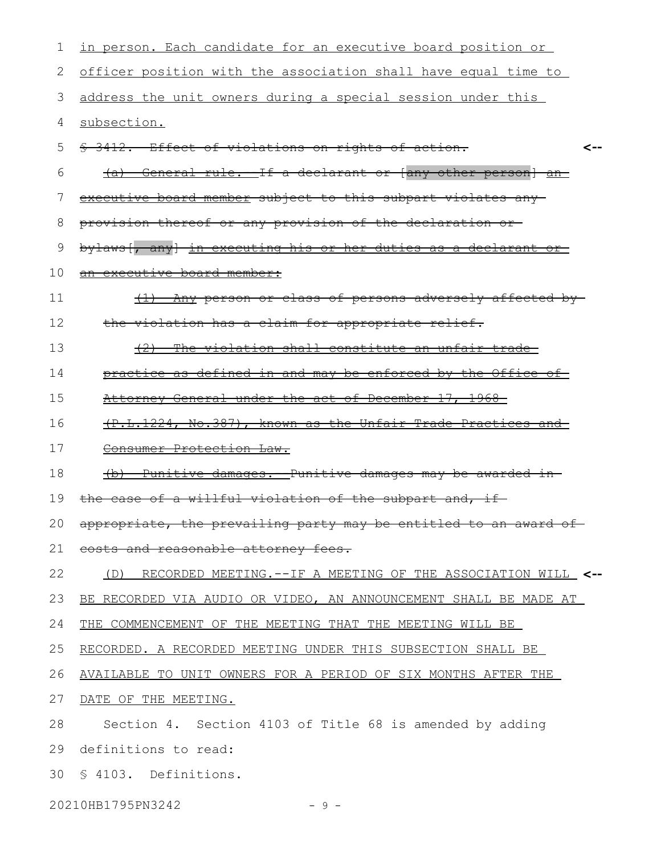| 1  | in person. Each candidate for an executive board position or             |
|----|--------------------------------------------------------------------------|
| 2  | officer position with the association shall have equal time to           |
| 3  | address the unit owners during a special session under this              |
| 4  | subsection.                                                              |
| 5  | \$ 3412. Effect of violations on rights of action.<br>⊂--                |
| 6  | (a) General rule. If a declarant or (any other person) an                |
| 7  | executive board member subject to this subpart violates any              |
| 8  | provision thereof or any provision of the declaration or-                |
| 9  | bylaws [, any] in executing his or her duties as a declarant or          |
| 10 | an executive board member:                                               |
| 11 | (1) Any person or class of persons adversely affected by-                |
| 12 | the violation has a claim for appropriate relief.                        |
| 13 | (2)<br>The violation shall constitute an unfair trade-                   |
| 14 | practice as defined in and may be enforced by the Office of              |
| 15 | Attorney General under the act of December 17, 1968                      |
| 16 | (P.L.1224, No.387), known as the Unfair Trade Practices and              |
| 17 | Consumer Protection Law.                                                 |
| 18 | Punitive damages. - Punitive damages may be awarded in<br>$\overline{a}$ |
| 19 | the case of a willful violation of the subpart and, if                   |
| 20 | appropriate, the prevailing party may be entitled to an award of-        |
|    | 21 eosts and reasonable attorney fees.                                   |
| 22 | (D) RECORDED MEETING.--IF A MEETING OF THE ASSOCIATION WILL <--          |
| 23 | BE RECORDED VIA AUDIO OR VIDEO, AN ANNOUNCEMENT SHALL BE MADE AT         |
| 24 | THE COMMENCEMENT OF THE MEETING THAT THE MEETING WILL BE                 |
| 25 | RECORDED. A RECORDED MEETING UNDER THIS SUBSECTION SHALL BE              |
| 26 | AVAILABLE TO UNIT OWNERS FOR A PERIOD OF SIX MONTHS AFTER THE            |
| 27 | DATE OF THE MEETING.                                                     |
| 28 | Section 4. Section 4103 of Title 68 is amended by adding                 |
| 29 | definitions to read:                                                     |
| 30 | § 4103. Definitions.                                                     |
|    | 20210HB1795PN3242<br>$-9 -$                                              |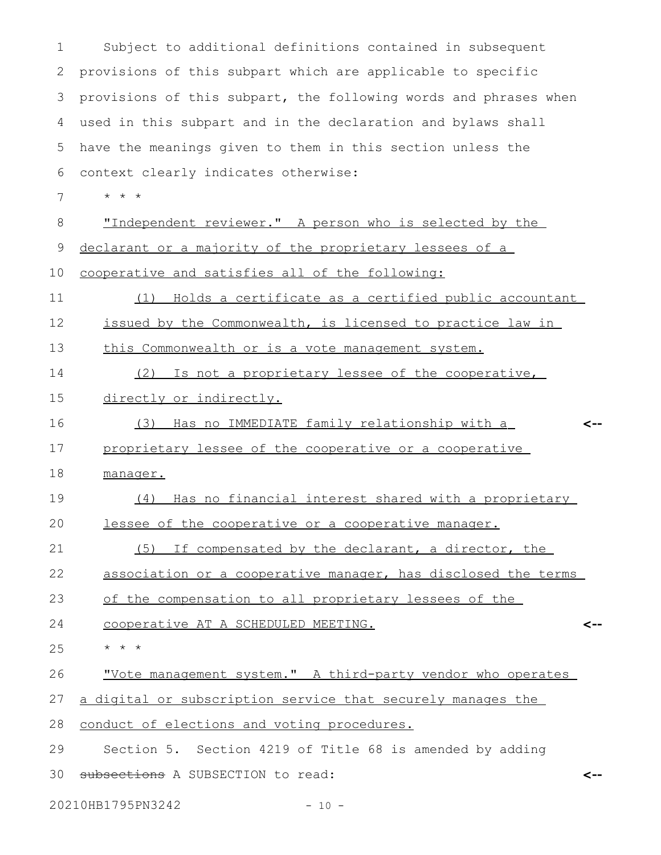| 1  | Subject to additional definitions contained in subsequent        |     |
|----|------------------------------------------------------------------|-----|
| 2  | provisions of this subpart which are applicable to specific      |     |
| 3  | provisions of this subpart, the following words and phrases when |     |
| 4  | used in this subpart and in the declaration and bylaws shall     |     |
| 5  | have the meanings given to them in this section unless the       |     |
| 6  | context clearly indicates otherwise:                             |     |
| 7  | * * *                                                            |     |
| 8  | "Independent reviewer." A person who is selected by the          |     |
| 9  | declarant or a majority of the proprietary lessees of a          |     |
| 10 | cooperative and satisfies all of the following:                  |     |
| 11 | Holds a certificate as a certified public accountant<br>(1)      |     |
| 12 | issued by the Commonwealth, is licensed to practice law in       |     |
| 13 | this Commonwealth or is a vote management system.                |     |
| 14 | Is not a proprietary lessee of the cooperative,<br>(2)           |     |
| 15 | directly or indirectly.                                          |     |
| 16 | Has no IMMEDIATE family relationship with a<br>(3)               |     |
| 17 | proprietary lessee of the cooperative or a cooperative           |     |
| 18 | manager.                                                         |     |
| 19 | Has no financial interest shared with a proprietary<br>(4)       |     |
| 20 | lessee of the cooperative or a cooperative manager.              |     |
| 21 | (5) If compensated by the declarant, a director, the             |     |
| 22 | association or a cooperative manager, has disclosed the terms    |     |
| 23 | of the compensation to all proprietary lessees of the            |     |
| 24 | cooperative AT A SCHEDULED MEETING.                              |     |
| 25 | $\star$ $\star$ $\star$                                          |     |
| 26 | "Vote management system." A third-party vendor who operates      |     |
| 27 | a digital or subscription service that securely manages the      |     |
| 28 | conduct of elections and voting procedures.                      |     |
| 29 | Section 5. Section 4219 of Title 68 is amended by adding         |     |
| 30 | subsections A SUBSECTION to read:                                | <-- |
|    |                                                                  |     |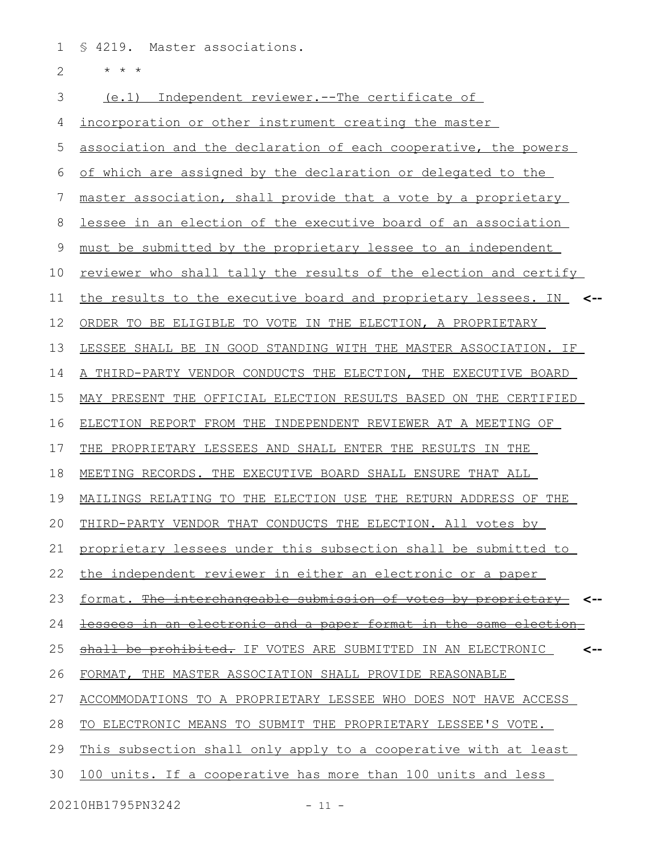§ 4219. Master associations. 1

\* \* \* 2

(e.1) Independent reviewer.--The certificate of incorporation or other instrument creating the master association and the declaration of each cooperative, the powers of which are assigned by the declaration or delegated to the master association, shall provide that a vote by a proprietary lessee in an election of the executive board of an association must be submitted by the proprietary lessee to an independent reviewer who shall tally the results of the election and certify the results to the executive board and proprietary lessees. IN **<--** ORDER TO BE ELIGIBLE TO VOTE IN THE ELECTION, A PROPRIETARY LESSEE SHALL BE IN GOOD STANDING WITH THE MASTER ASSOCIATION. IF A THIRD-PARTY VENDOR CONDUCTS THE ELECTION, THE EXECUTIVE BOARD MAY PRESENT THE OFFICIAL ELECTION RESULTS BASED ON THE CERTIFIED ELECTION REPORT FROM THE INDEPENDENT REVIEWER AT A MEETING OF THE PROPRIETARY LESSEES AND SHALL ENTER THE RESULTS IN THE MEETING RECORDS. THE EXECUTIVE BOARD SHALL ENSURE THAT ALL MAILINGS RELATING TO THE ELECTION USE THE RETURN ADDRESS OF THE THIRD-PARTY VENDOR THAT CONDUCTS THE ELECTION. All votes by proprietary lessees under this subsection shall be submitted to the independent reviewer in either an electronic or a paper format. The interchangeable submission of votes by proprietary **<-** lessees in an electronic and a paper format in the same election shall be prohibited. IF VOTES ARE SUBMITTED IN AN ELECTRONIC FORMAT, THE MASTER ASSOCIATION SHALL PROVIDE REASONABLE ACCOMMODATIONS TO A PROPRIETARY LESSEE WHO DOES NOT HAVE ACCESS TO ELECTRONIC MEANS TO SUBMIT THE PROPRIETARY LESSEE'S VOTE. This subsection shall only apply to a cooperative with at least 100 units. If a cooperative has more than 100 units and less **<--** 3 4 5 6 7 8 9 10 11 12 13 14 15 16 17 18 19 20 21 22 23 24 25 26 27 28 29 30

20210HB1795PN3242 - 11 -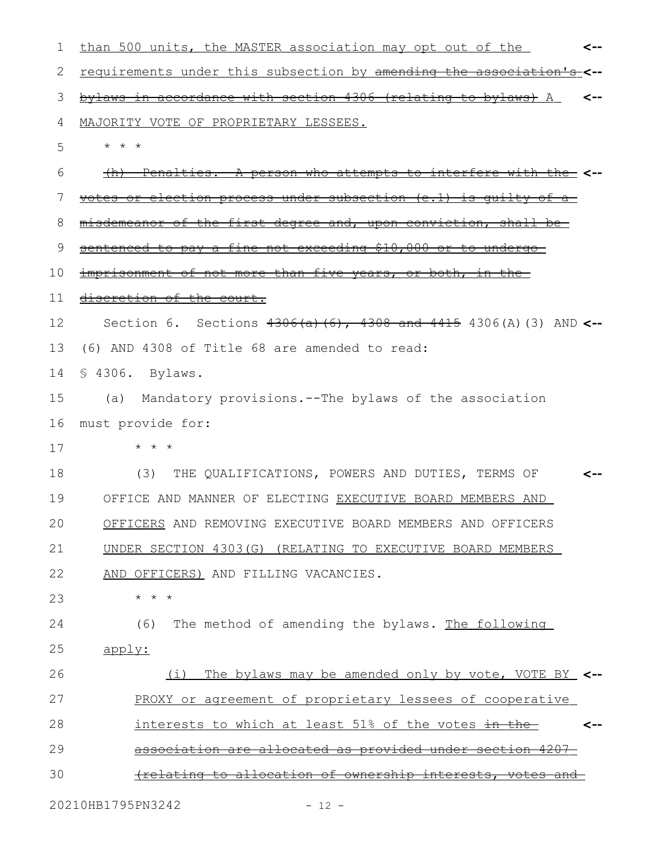| ı  | than 500 units, the MASTER association may opt out of the<br><--     |
|----|----------------------------------------------------------------------|
| 2  | requirements under this subsection by amending the association's-    |
| 3  | bylaws in accordance with section 4306 (relating to bylaws) A        |
| 4  | MAJORITY VOTE OF PROPRIETARY LESSEES.                                |
| 5  | $\star$ $\star$                                                      |
| 6  | (h) Penalties. A person who attempts to interfere with the <--       |
| 7  | votes or election process under subsection (e.1) is quilty of a      |
| 8  | misdemeanor of the first degree and, upon conviction, shall be       |
| 9  | sentenced to pay a fine not exceeding \$10,000 or to undergo-        |
| 10 | imprisonment of not more than five years, or both, in the            |
| 11 | discretion of the court.                                             |
| 12 | Section 6. Sections $4306(a)$ (6), 4308 and 4415 4306(A) (3) AND <-- |
| 13 | (6) AND 4308 of Title 68 are amended to read:                        |
| 14 | § 4306. Bylaws.                                                      |
| 15 | Mandatory provisions.--The bylaws of the association<br>(a)          |
| 16 | must provide for:                                                    |
| 17 | * * *                                                                |
| 18 | THE QUALIFICATIONS, POWERS AND DUTIES, TERMS OF<br>(3)               |
| 19 | OFFICE AND MANNER OF ELECTING EXECUTIVE BOARD MEMBERS AND            |
| 20 | OFFICERS AND REMOVING EXECUTIVE BOARD MEMBERS AND OFFICERS           |
| 21 | UNDER SECTION 4303(G) (RELATING TO EXECUTIVE BOARD MEMBERS           |
| 22 | AND OFFICERS) AND FILLING VACANCIES.                                 |
| 23 | $\star$ $\star$ $\star$                                              |
| 24 | The method of amending the bylaws. The following<br>(6)              |
| 25 | apply:                                                               |
| 26 | The bylaws may be amended only by vote, VOTE BY_ <--<br>(i)          |
| 27 | PROXY or agreement of proprietary lessees of cooperative             |
| 28 | interests to which at least 51% of the votes in the-                 |
| 29 | association are allocated as provided under section 4207-            |
| 30 | <u>(relating to allocation of ownership interests, votes and </u>    |
|    | 20210HB1795PN3242<br>$-12 -$                                         |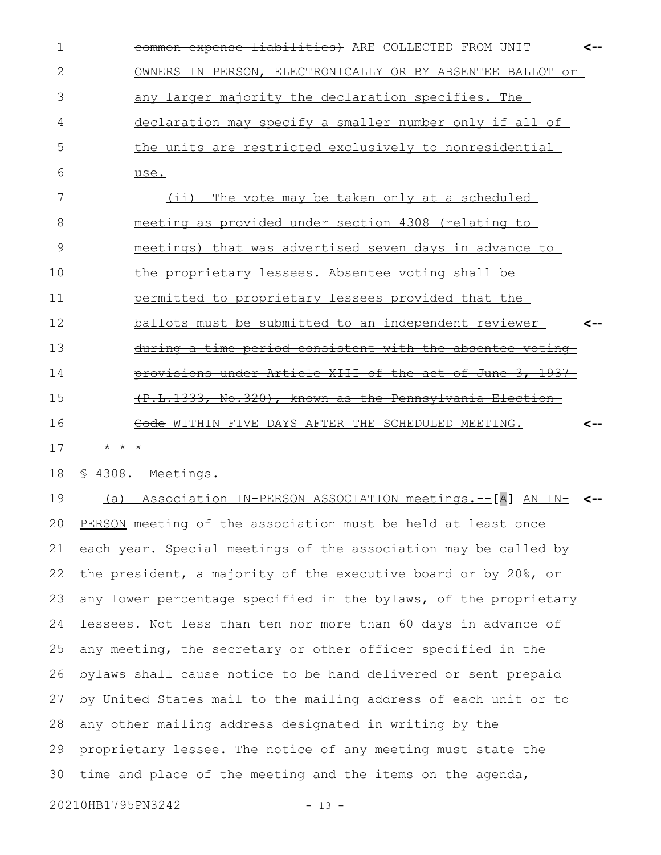| 1  |                       | <del>liabilities)</del> ARE COLLECTED FROM UNIT<br><del>expense-</del>  |  |
|----|-----------------------|-------------------------------------------------------------------------|--|
| 2  |                       | OWNERS IN PERSON, ELECTRONICALLY OR BY ABSENTEE BALLOT or               |  |
| 3  |                       | any larger majority the declaration specifies. The                      |  |
| 4  |                       | declaration may specify a smaller number only if all of                 |  |
| 5  |                       | the units are restricted exclusively to nonresidential                  |  |
| 6  |                       | use.                                                                    |  |
| 7  |                       | The vote may be taken only at a scheduled<br>(i)                        |  |
| 8  |                       | meeting as provided under section 4308 (relating to                     |  |
| 9  |                       | meetings) that was advertised seven days in advance to                  |  |
| 10 |                       | the proprietary lessees. Absentee voting shall be                       |  |
| 11 |                       | permitted to proprietary lessees provided that the                      |  |
| 12 |                       | ballots must be submitted to an independent reviewer                    |  |
| 13 |                       | during a time period consistent with the absentee voting                |  |
| 14 |                       | under Article XIII of the act of June 3, 1937-<br><del>provisions</del> |  |
| 15 |                       | <del>.L.1333, No.320), known as the Pennsylvania Election-</del>        |  |
| 16 |                       | Code WITHIN FIVE DAYS AFTER THE SCHEDULED MEETING.                      |  |
| 17 | $^{\star}$<br>$\star$ | $\star$                                                                 |  |

§ 4308. Meetings. 18

 (a) Association IN-PERSON ASSOCIATION meetings.--**[**A**]** AN IN-**<--** PERSON meeting of the association must be held at least once each year. Special meetings of the association may be called by the president, a majority of the executive board or by 20%, or any lower percentage specified in the bylaws, of the proprietary lessees. Not less than ten nor more than 60 days in advance of any meeting, the secretary or other officer specified in the bylaws shall cause notice to be hand delivered or sent prepaid by United States mail to the mailing address of each unit or to any other mailing address designated in writing by the proprietary lessee. The notice of any meeting must state the time and place of the meeting and the items on the agenda, 19 20 21 22 23 24 25 26 27 28 29 30

20210HB1795PN3242 - 13 -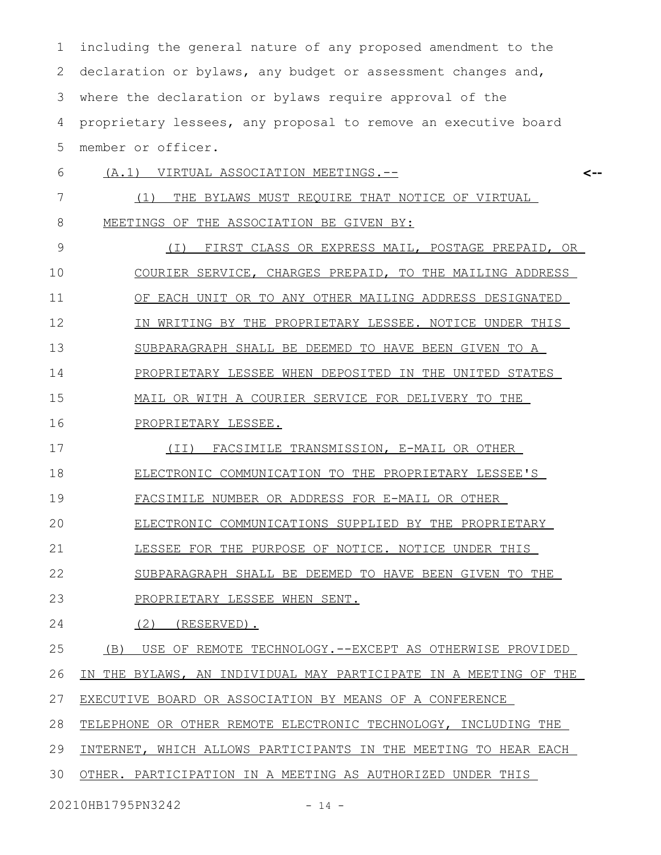including the general nature of any proposed amendment to the declaration or bylaws, any budget or assessment changes and, where the declaration or bylaws require approval of the proprietary lessees, any proposal to remove an executive board member or officer. 1 2 3 4 5

 (A.1) VIRTUAL ASSOCIATION MEETINGS.-- (1) THE BYLAWS MUST REQUIRE THAT NOTICE OF VIRTUAL **<--** 6 7

MEETINGS OF THE ASSOCIATION BE GIVEN BY: 8

(I) FIRST CLASS OR EXPRESS MAIL, POSTAGE PREPAID, OR COURIER SERVICE, CHARGES PREPAID, TO THE MAILING ADDRESS OF EACH UNIT OR TO ANY OTHER MAILING ADDRESS DESIGNATED IN WRITING BY THE PROPRIETARY LESSEE. NOTICE UNDER THIS SUBPARAGRAPH SHALL BE DEEMED TO HAVE BEEN GIVEN TO A PROPRIETARY LESSEE WHEN DEPOSITED IN THE UNITED STATES MAIL OR WITH A COURIER SERVICE FOR DELIVERY TO THE PROPRIETARY LESSEE. (II) FACSIMILE TRANSMISSION, E-MAIL OR OTHER ELECTRONIC COMMUNICATION TO THE PROPRIETARY LESSEE'S FACSIMILE NUMBER OR ADDRESS FOR E-MAIL OR OTHER ELECTRONIC COMMUNICATIONS SUPPLIED BY THE PROPRIETARY LESSEE FOR THE PURPOSE OF NOTICE. NOTICE UNDER THIS SUBPARAGRAPH SHALL BE DEEMED TO HAVE BEEN GIVEN TO THE PROPRIETARY LESSEE WHEN SENT. (2) (RESERVED). (B) USE OF REMOTE TECHNOLOGY.--EXCEPT AS OTHERWISE PROVIDED 9 10 11 12 13 14 15 16 17 18 19 20 21 22 23 24 25

IN THE BYLAWS, AN INDIVIDUAL MAY PARTICIPATE IN A MEETING OF THE 26

EXECUTIVE BOARD OR ASSOCIATION BY MEANS OF A CONFERENCE 27

TELEPHONE OR OTHER REMOTE ELECTRONIC TECHNOLOGY, INCLUDING THE 28

INTERNET, WHICH ALLOWS PARTICIPANTS IN THE MEETING TO HEAR EACH 29

OTHER. PARTICIPATION IN A MEETING AS AUTHORIZED UNDER THIS 30

20210HB1795PN3242 - 14 -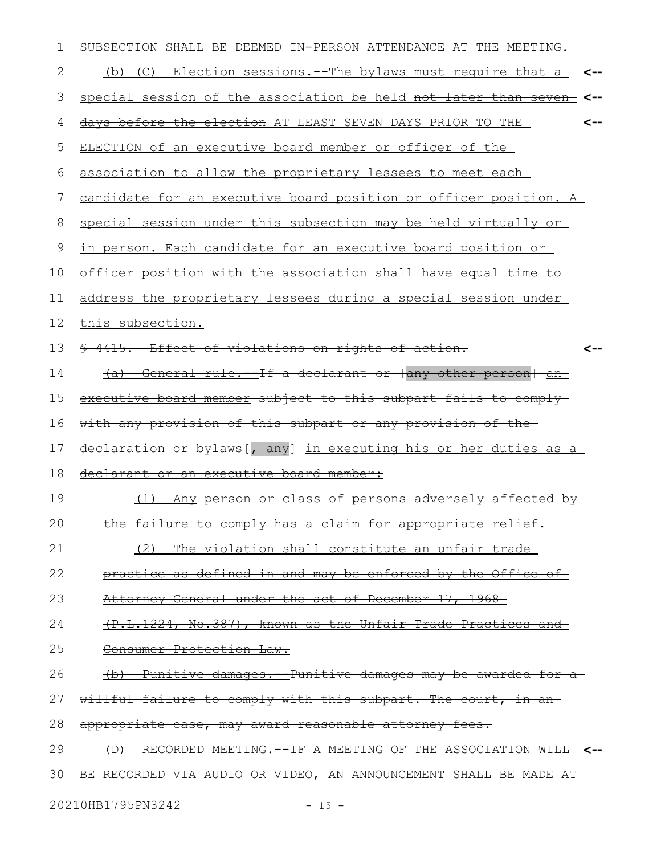| SUBSECTION SHALL BE DEEMED IN-PERSON ATTENDANCE AT THE MEETING.      |
|----------------------------------------------------------------------|
| (C) Election sessions.--The bylaws must require that a               |
| special session of the association be held not later than seven-     |
| days before the election AT LEAST SEVEN DAYS PRIOR TO THE<br><--     |
| ELECTION of an executive board member or officer of the              |
| association to allow the proprietary lessees to meet each            |
| candidate for an executive board position or officer position. A     |
| special session under this subsection may be held virtually or       |
| <u>in person. Each candidate for an executive board position or </u> |
| officer position with the association shall have equal time to       |
| address the proprietary lessees during a special session under       |
| this subsection.                                                     |
| \$ 4415. Effect of violations on rights of action.<br><--            |
| (a) General rule. If a declarant or (any other person) an            |
| executive board member subject to this subpart fails to comply-      |
| with any provision of this subpart or any provision of the-          |
| declaration or bylaws [, any] in executing his or her duties as a    |
| declarant or an executive board member:                              |
| (1) Any person or class of persons adversely affected by-            |
| the failure to comply has a claim for appropriate relief.            |
| (2) The violation shall constitute an unfair trade-                  |
| practice as defined in and may be enforced by the Office of          |
| Attorney General under the act of December 17, 1968-                 |
| (P.L.1224, No.387), known as the Unfair Trade Practices and          |
| Consumer Protection Law.                                             |
| (b) Punitive damages. Punitive damages may be awarded for a          |
| willful failure to comply with this subpart. The court, in an-       |
| appropriate case, may award reasonable attorney fees.                |
| (D) RECORDED MEETING.--IF A MEETING OF THE ASSOCIATION WILL <--      |
| BE RECORDED VIA AUDIO OR VIDEO, AN ANNOUNCEMENT SHALL BE MADE AT     |
|                                                                      |

20210HB1795PN3242 - 15 -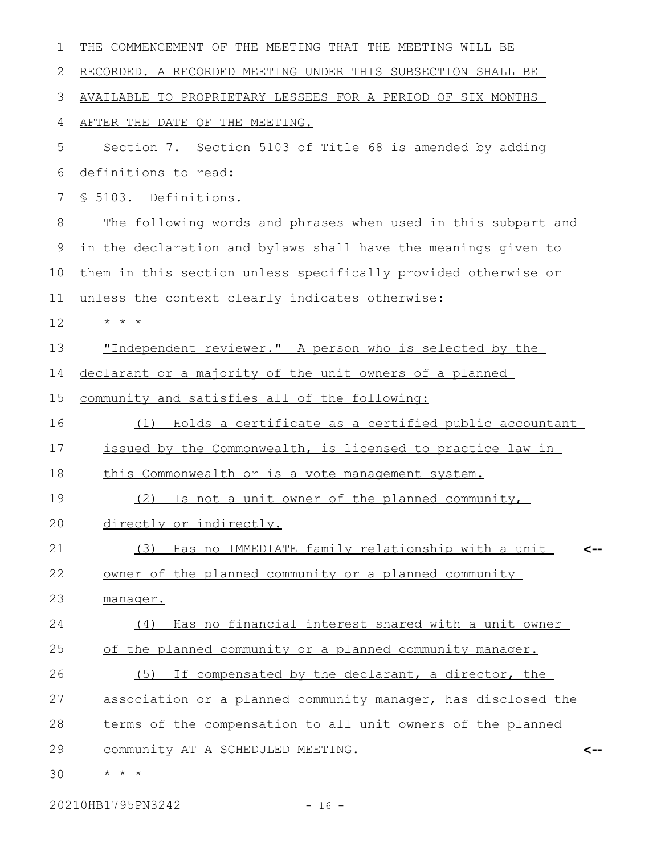| 1  | THE COMMENCEMENT OF THE MEETING THAT THE MEETING WILL BE       |
|----|----------------------------------------------------------------|
| 2  | RECORDED. A RECORDED MEETING UNDER THIS SUBSECTION SHALL BE    |
| 3  | AVAILABLE TO PROPRIETARY LESSEES FOR A PERIOD OF SIX MONTHS    |
| 4  | AFTER THE DATE OF THE MEETING.                                 |
| 5  | Section 7. Section 5103 of Title 68 is amended by adding       |
| 6  | definitions to read:                                           |
| 7  | § 5103. Definitions.                                           |
| 8  | The following words and phrases when used in this subpart and  |
| 9  | in the declaration and bylaws shall have the meanings given to |
| 10 | them in this section unless specifically provided otherwise or |
| 11 | unless the context clearly indicates otherwise:                |
| 12 | $\star$ $\star$<br>$\star$                                     |
| 13 | "Independent reviewer." A person who is selected by the        |
| 14 | declarant or a majority of the unit owners of a planned        |
| 15 | community and satisfies all of the following:                  |
| 16 | Holds a certificate as a certified public accountant<br>(1)    |
| 17 | issued by the Commonwealth, is licensed to practice law in     |
| 18 | this Commonwealth or is a vote management system.              |
| 19 | Is not a unit owner of the planned community,<br>(2)           |
| 20 | directly or indirectly.                                        |
| 21 | (3) Has no IMMEDIATE family relationship with a unit<br><--    |
| 22 | owner of the planned community or a planned community          |
| 23 | manager.                                                       |
| 24 | Has no financial interest shared with a unit owner<br>(4)      |
| 25 | of the planned community or a planned community manager.       |
| 26 | (5) If compensated by the declarant, a director, the           |
| 27 | association or a planned community manager, has disclosed the  |
| 28 | terms of the compensation to all unit owners of the planned    |
| 29 | community AT A SCHEDULED MEETING.<br><--                       |
| 30 | $\star$ $\star$ $\star$                                        |

20210HB1795PN3242 - 16 -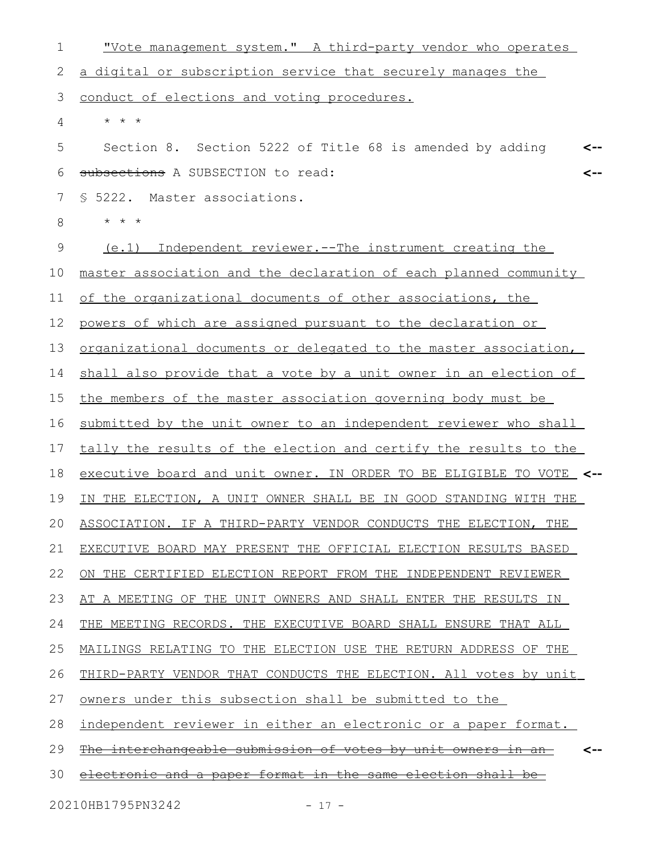"Vote management system." A third-party vendor who operates a digital or subscription service that securely manages the conduct of elections and voting procedures. \* \* \* Section 8. Section 5222 of Title 68 is amended by adding subsections A SUBSECTION to read: § 5222. Master associations. \* \* \* (e.1) Independent reviewer.--The instrument creating the master association and the declaration of each planned community of the organizational documents of other associations, the powers of which are assigned pursuant to the declaration or organizational documents or delegated to the master association, shall also provide that a vote by a unit owner in an election of the members of the master association governing body must be submitted by the unit owner to an independent reviewer who shall tally the results of the election and certify the results to the executive board and unit owner. IN ORDER TO BE ELIGIBLE TO VOTE **<--** IN THE ELECTION, A UNIT OWNER SHALL BE IN GOOD STANDING WITH THE ASSOCIATION. IF A THIRD-PARTY VENDOR CONDUCTS THE ELECTION, THE EXECUTIVE BOARD MAY PRESENT THE OFFICIAL ELECTION RESULTS BASED ON THE CERTIFIED ELECTION REPORT FROM THE INDEPENDENT REVIEWER AT A MEETING OF THE UNIT OWNERS AND SHALL ENTER THE RESULTS IN THE MEETING RECORDS. THE EXECUTIVE BOARD SHALL ENSURE THAT ALL MAILINGS RELATING TO THE ELECTION USE THE RETURN ADDRESS OF THE THIRD-PARTY VENDOR THAT CONDUCTS THE ELECTION. All votes by unit owners under this subsection shall be submitted to the independent reviewer in either an electronic or a paper format. The interchangeable submission of votes by unit owners in an electronic and a paper format in the same election shall be **<-- <-- <--** 1 2 3 4 5 6 7 8 9 10 11 12 13 14 15 16 17 18 19 20 21 22 23 24 25 26 27 28 29 30

20210HB1795PN3242 - 17 -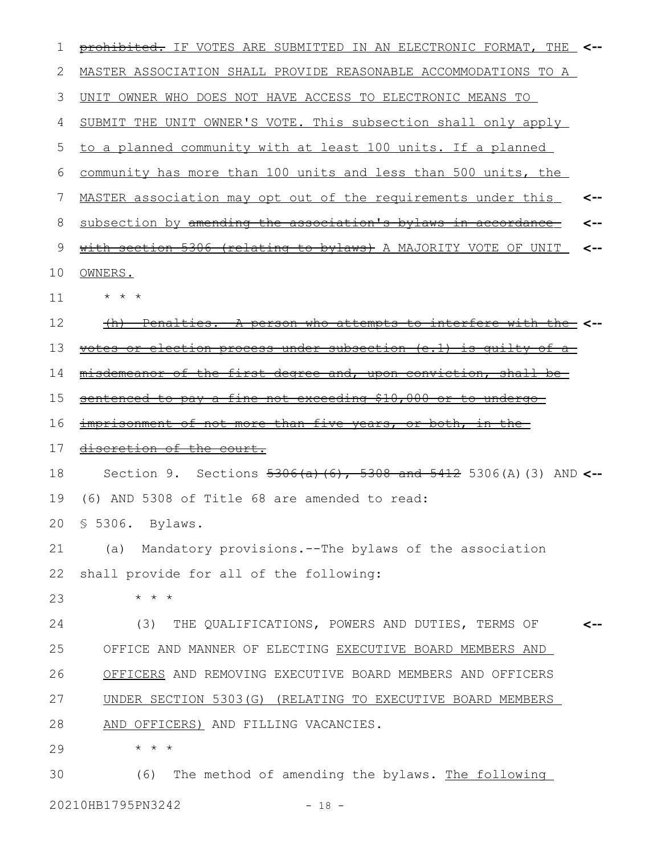| 1  | prohibited. IF VOTES ARE SUBMITTED IN AN ELECTRONIC FORMAT, THE<br><-- |
|----|------------------------------------------------------------------------|
| 2  | MASTER ASSOCIATION SHALL PROVIDE REASONABLE ACCOMMODATIONS TO A        |
| 3  | UNIT OWNER WHO DOES NOT HAVE ACCESS TO ELECTRONIC MEANS TO             |
| 4  | SUBMIT THE UNIT OWNER'S VOTE. This subsection shall only apply         |
| 5  | to a planned community with at least 100 units. If a planned           |
| 6  | community has more than 100 units and less than 500 units, the         |
| 7  | MASTER association may opt out of the requirements under this<br><--   |
| 8  | subsection by amending the association's bylaws in accordance          |
| 9  | with section 5306 (relating to bylaws) A MAJORITY VOTE OF UNIT<br><--  |
| 10 | OWNERS.                                                                |
| 11 | $\star$ $\star$ $\star$                                                |
| 12 | Penalties. A person who attempts to interfere with the <--<br>$+n$     |
| 13 | votes or election process under subsection (e.1) is quilty of a        |
| 14 | misdemeanor of the first degree and, upon conviction, shall be         |
| 15 | sentenced to pay a fine not exceeding \$10,000 or to undergo           |
| 16 | imprisonment of not more than five years, or both, in the              |
| 17 | discretion of the court.                                               |
| 18 | Section 9. Sections $5306(a)$ (6), 5308 and 5412 5306(A) (3) AND <--   |
| 19 | (6) AND 5308 of Title 68 are amended to read:                          |
|    | 20 \$ 5306. Bylaws.                                                    |
| 21 | Mandatory provisions.--The bylaws of the association<br>(a)            |
| 22 | shall provide for all of the following:                                |
| 23 | $\star$<br>$\star$<br>$\star$                                          |
| 24 | THE QUALIFICATIONS, POWERS AND DUTIES, TERMS OF<br>(3)                 |
| 25 | OFFICE AND MANNER OF ELECTING EXECUTIVE BOARD MEMBERS AND              |
| 26 | OFFICERS AND REMOVING EXECUTIVE BOARD MEMBERS AND OFFICERS             |
| 27 | UNDER SECTION 5303(G) (RELATING TO EXECUTIVE BOARD MEMBERS             |
| 28 | AND OFFICERS) AND FILLING VACANCIES.                                   |
| 29 | $\star$ $\star$<br>$^\star$                                            |
| 30 | The method of amending the bylaws. The following<br>(6)                |

20210HB1795PN3242 - 18 -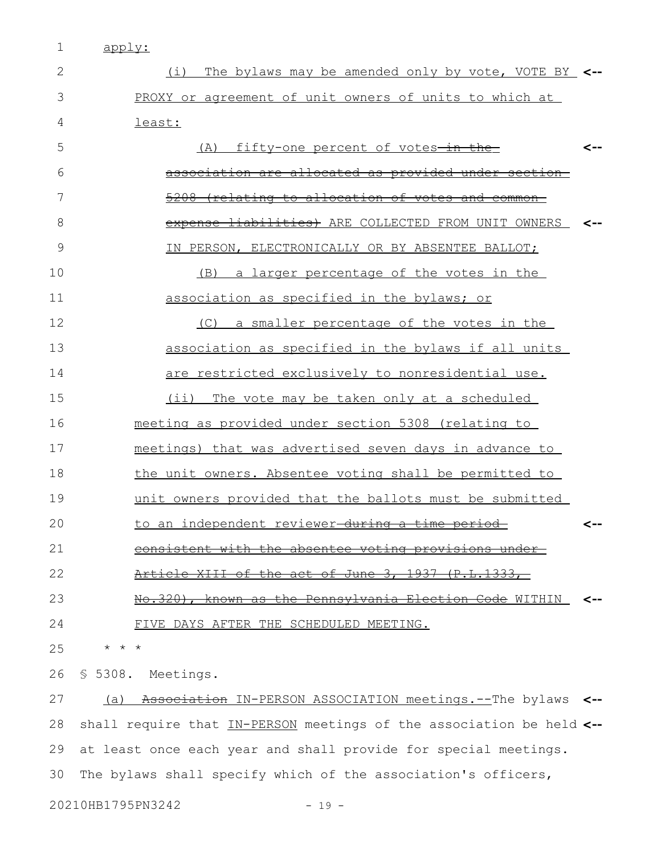1 apply:

| 2  | The bylaws may be amended only by vote, VOTE BY <--<br>(i)           |     |
|----|----------------------------------------------------------------------|-----|
| 3  | PROXY or agreement of unit owners of units to which at               |     |
| 4  | least:                                                               |     |
| 5  | fifty-one percent of votes-in-the-<br>(A)                            | --> |
| 6  | association are allocated as provided under sect                     |     |
| 7  | <u>(relating to allocation of votes and common</u>                   |     |
| 8  | expense liabilities) ARE COLLECTED FROM UNIT OWNERS                  | ⊂-- |
| 9  | IN PERSON, ELECTRONICALLY OR BY ABSENTEE BALLOT;                     |     |
| 10 | a larger percentage of the votes in the<br>(B)                       |     |
| 11 | association as specified in the bylaws; or                           |     |
| 12 | (C) a smaller percentage of the votes in the                         |     |
| 13 | association as specified in the bylaws if all units                  |     |
| 14 | are restricted exclusively to nonresidential use.                    |     |
| 15 | The vote may be taken only at a scheduled<br>$(i$ i)                 |     |
| 16 | meeting as provided under section 5308 (relating to                  |     |
| 17 | meetings) that was advertised seven days in advance to               |     |
| 18 | the unit owners. Absentee voting shall be permitted to               |     |
| 19 | unit owners provided that the ballots must be submitted              |     |
| 20 | to an independent reviewer-during a time period-                     | <-- |
| 21 | consistent with the absentee voting provisions under                 |     |
| 22 | Article XIII of the act of June 3, 1937 (P.L.1333,                   |     |
| 23 | <u>the Pennsylvania Election Code</u> WITHIN<br>No.320), known as    |     |
| 24 | FIVE DAYS AFTER THE SCHEDULED MEETING.                               |     |
| 25 | $^\star$<br>$\star$                                                  |     |
| 26 | \$5308.<br>Meetings.                                                 |     |
| 27 | Association IN-PERSON ASSOCIATION meetings.--The bylaws<br>(a)       | <-- |
| 28 | shall require that IN-PERSON meetings of the association be held <-- |     |
| 29 | at least once each year and shall provide for special meetings.      |     |
| 30 | The bylaws shall specify which of the association's officers,        |     |

20210HB1795PN3242 - 19 -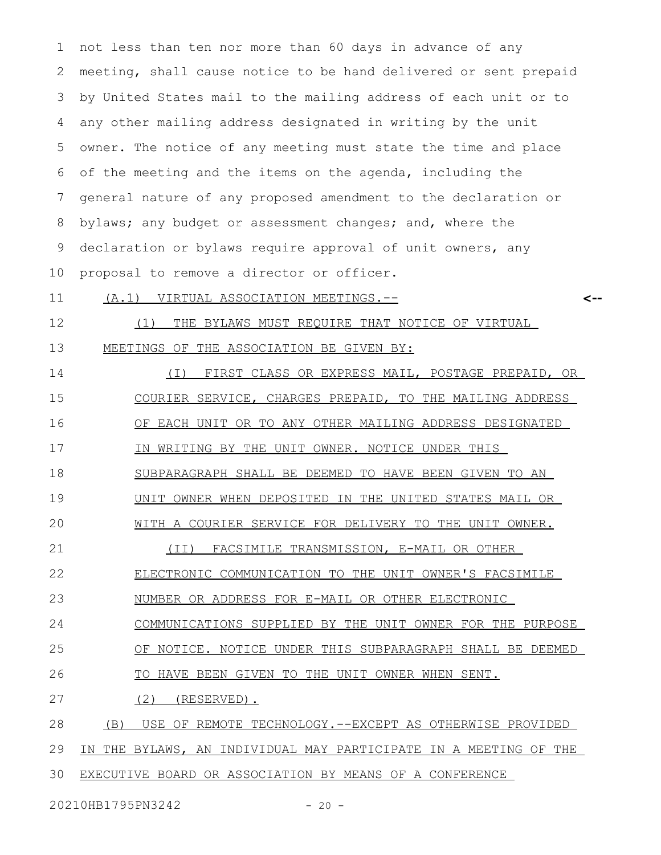not less than ten nor more than 60 days in advance of any meeting, shall cause notice to be hand delivered or sent prepaid by United States mail to the mailing address of each unit or to any other mailing address designated in writing by the unit owner. The notice of any meeting must state the time and place of the meeting and the items on the agenda, including the general nature of any proposed amendment to the declaration or bylaws; any budget or assessment changes; and, where the declaration or bylaws require approval of unit owners, any proposal to remove a director or officer. 1 2 3 4 5 6 7 8 9 10

 (A.1) VIRTUAL ASSOCIATION MEETINGS.-- 11

**<--**

(1) THE BYLAWS MUST REQUIRE THAT NOTICE OF VIRTUAL MEETINGS OF THE ASSOCIATION BE GIVEN BY: 12 13

(I) FIRST CLASS OR EXPRESS MAIL, POSTAGE PREPAID, OR COURIER SERVICE, CHARGES PREPAID, TO THE MAILING ADDRESS OF EACH UNIT OR TO ANY OTHER MAILING ADDRESS DESIGNATED IN WRITING BY THE UNIT OWNER. NOTICE UNDER THIS SUBPARAGRAPH SHALL BE DEEMED TO HAVE BEEN GIVEN TO AN UNIT OWNER WHEN DEPOSITED IN THE UNITED STATES MAIL OR WITH A COURIER SERVICE FOR DELIVERY TO THE UNIT OWNER. (II) FACSIMILE TRANSMISSION, E-MAIL OR OTHER ELECTRONIC COMMUNICATION TO THE UNIT OWNER'S FACSIMILE NUMBER OR ADDRESS FOR E-MAIL OR OTHER ELECTRONIC COMMUNICATIONS SUPPLIED BY THE UNIT OWNER FOR THE PURPOSE OF NOTICE. NOTICE UNDER THIS SUBPARAGRAPH SHALL BE DEEMED TO HAVE BEEN GIVEN TO THE UNIT OWNER WHEN SENT.  $(2)$  (RESERVED). (B) USE OF REMOTE TECHNOLOGY.--EXCEPT AS OTHERWISE PROVIDED IN THE BYLAWS, AN INDIVIDUAL MAY PARTICIPATE IN A MEETING OF THE 14 15 16 17 18 19 20 21 22 23 24 25 26 27 28 29

EXECUTIVE BOARD OR ASSOCIATION BY MEANS OF A CONFERENCE 30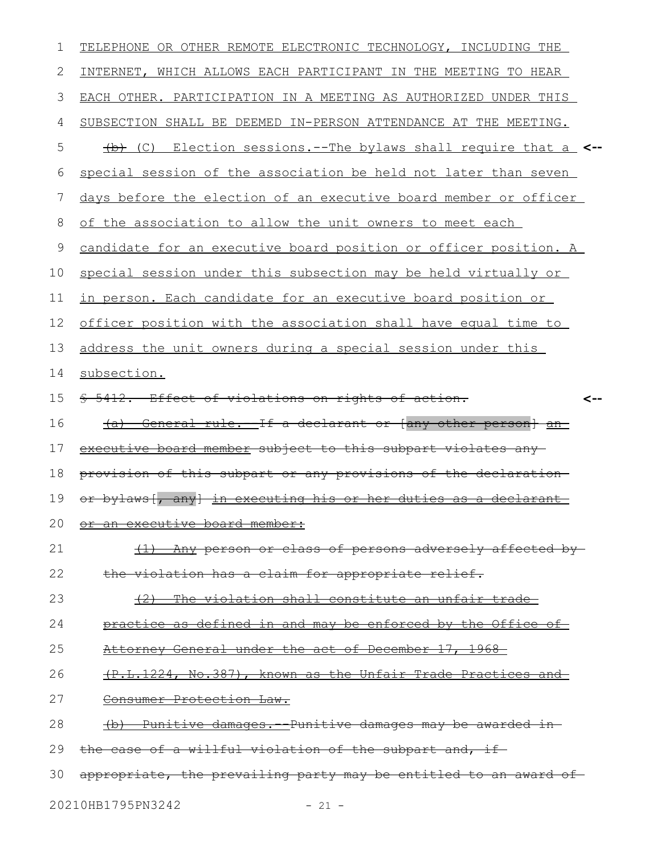| 1            | TELEPHONE OR OTHER REMOTE ELECTRONIC TECHNOLOGY, INCLUDING THE          |
|--------------|-------------------------------------------------------------------------|
| $\mathbf{2}$ | INTERNET, WHICH ALLOWS EACH PARTICIPANT IN THE MEETING TO HEAR          |
| 3            | EACH OTHER. PARTICIPATION IN A MEETING AS AUTHORIZED UNDER THIS         |
| 4            | SUBSECTION SHALL BE DEEMED IN-PERSON ATTENDANCE AT THE MEETING.         |
| 5            | (C) Election sessions.--The bylaws shall require that a <--             |
| 6            | special session of the association be held not later than seven         |
| 7            | days before the election of an executive board member or officer        |
| 8            | of the association to allow the unit owners to meet each                |
| $\mathsf 9$  | candidate for an executive board position or officer position. A        |
| 10           | special session under this subsection may be held virtually or          |
| 11           | in person. Each candidate for an executive board position or            |
| 12           | officer position with the association shall have equal time to          |
| 13           | address the unit owners during a special session under this             |
| 14           | subsection.                                                             |
| 15           | \$ 5412. Effect of violations on rights of action.<br><--               |
| 16           | General rule. If a declarant or (any other person) an<br><del>(a)</del> |
|              |                                                                         |
| 17           | executive board member subject to this subpart violates any-            |
| 18           | provision of this subpart or any provisions of the declaration          |
| 19           | or bylaws - any<br>in executing his or her duties as a declarant        |
| 20           | or an executive board member:                                           |
| 21           | (1) Any person or class of persons adversely affected by-               |
| 22           | the violation has a claim for appropriate relief.                       |
| 23           | (2) The violation shall constitute an unfair trade-                     |
| 24           | practice as defined in and may be enforced by the Office of             |
| 25           | Attorney General under the act of December 17, 1968                     |
| 26           | (P.L.1224, No.387), known as the Unfair Trade Practices and             |
| 27           | Consumer Protection Law.                                                |
| 28           | (b) Punitive damages. Punitive damages may be awarded in                |
| 29           | the case of a willful violation of the subpart and, if-                 |

20210HB1795PN3242 - 21 -